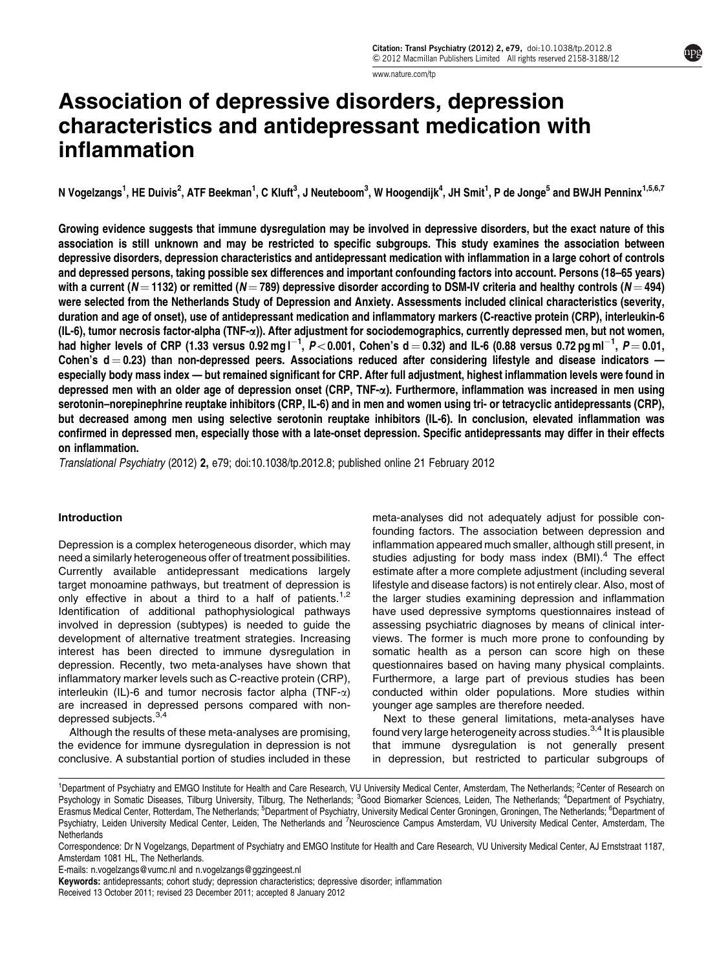[www.nature.com/tp](http://www.nature.com/tp)

# Association of depressive disorders, depression characteristics and antidepressant medication with inflammation

N Vogelzangs<sup>1</sup>, HE Duivis<sup>2</sup>, ATF Beekman<sup>1</sup>, C Kluft<sup>3</sup>, J Neuteboom<sup>3</sup>, W Hoogendijk<sup>4</sup>, JH Smit<sup>1</sup>, P de Jonge<sup>5</sup> and BWJH Penninx<sup>1,5,6,7</sup>

Growing evidence suggests that immune dysregulation may be involved in depressive disorders, but the exact nature of this association is still unknown and may be restricted to specific subgroups. This study examines the association between depressive disorders, depression characteristics and antidepressant medication with inflammation in a large cohort of controls and depressed persons, taking possible sex differences and important confounding factors into account. Persons (18–65 years) with a current (N  $=$  1132) or remitted (N  $=$  789) depressive disorder according to DSM-IV criteria and healthy controls (N  $=$  494) were selected from the Netherlands Study of Depression and Anxiety. Assessments included clinical characteristics (severity, duration and age of onset), use of antidepressant medication and inflammatory markers (C-reactive protein (CRP), interleukin-6  $(IL-6)$ , tumor necrosis factor-alpha  $(TNF-\alpha)$ ). After adjustment for sociodemographics, currently depressed men, but not women, had higher levels of CRP (1.33 versus 0.92 mg l $^{-1}$ ,  $P$ <0.001, Cohen's d  $=$  0.32) and IL-6 (0.88 versus 0.72 pg ml $^{-1}$ ,  $P$   $=$  0.01, Cohen's  $d = 0.23$ ) than non-depressed peers. Associations reduced after considering lifestyle and disease indicators  $$ especially body mass index — but remained significant for CRP. After full adjustment, highest inflammation levels were found in depressed men with an older age of depression onset (CRP, TNF-a). Furthermore, inflammation was increased in men using serotonin–norepinephrine reuptake inhibitors (CRP, IL-6) and in men and women using tri- or tetracyclic antidepressants (CRP), but decreased among men using selective serotonin reuptake inhibitors (IL-6). In conclusion, elevated inflammation was confirmed in depressed men, especially those with a late-onset depression. Specific antidepressants may differ in their effects on inflammation.

Translational Psychiatry (2012) 2, e79; doi:[10.1038/tp.2012.8;](http://dx.doi.org/10.1038/tp.2012.8) published online 21 February 2012

## Introduction

Depression is a complex heterogeneous disorder, which may need a similarly heterogeneous offer of treatment possibilities. Currently available antidepressant medications largely target monoamine pathways, but treatment of depression is only effective in about a third to a half of patients.<sup>[1,2](#page-7-0)</sup> Identification of additional pathophysiological pathways involved in depression (subtypes) is needed to guide the development of alternative treatment strategies. Increasing interest has been directed to immune dysregulation in depression. Recently, two meta-analyses have shown that inflammatory marker levels such as C-reactive protein (CRP), interleukin (IL)-6 and tumor necrosis factor alpha (TNF- $\alpha$ ) are increased in depressed persons compared with non-depressed subjects.<sup>[3,4](#page-7-0)</sup>

Although the results of these meta-analyses are promising, the evidence for immune dysregulation in depression is not conclusive. A substantial portion of studies included in these

meta-analyses did not adequately adjust for possible confounding factors. The association between depression and inflammation appeared much smaller, although still present, in studies adjusting for body mass index (BMI).<sup>[4](#page-7-0)</sup> The effect estimate after a more complete adjustment (including several lifestyle and disease factors) is not entirely clear. Also, most of the larger studies examining depression and inflammation have used depressive symptoms questionnaires instead of assessing psychiatric diagnoses by means of clinical interviews. The former is much more prone to confounding by somatic health as a person can score high on these questionnaires based on having many physical complaints. Furthermore, a large part of previous studies has been conducted within older populations. More studies within younger age samples are therefore needed.

Next to these general limitations, meta-analyses have found very large heterogeneity across studies. $3,4$  It is plausible that immune dysregulation is not generally present in depression, but restricted to particular subgroups of

E-mails: [n.vogelzangs@vumc.nl](mailto:n.vogelzangs@vumc.nl) and [n.vogelzangs@ggzingeest.nl](mailto:n.vogelzangs@ggzingeest.nl)

<sup>&</sup>lt;sup>1</sup>Department of Psychiatry and EMGO Institute for Health and Care Research, VU University Medical Center, Amsterdam, The Netherlands; <sup>2</sup>Center of Research on Psychology in Somatic Diseases, Tilburg University, Tilburg, The Netherlands; <sup>3</sup>Good Biomarker Sciences, Leiden, The Netherlands; <sup>4</sup>Department of Psychiatry, Erasmus Medical Center, Rotterdam, The Netherlands; <sup>5</sup>Department of Psychiatry, University Medical Center Groningen, Groningen, The Netherlands; <sup>6</sup>Department of Psychiatry, Leiden University Medical Center, Leiden, The Netherlands and <sup>7</sup>Neuroscience Campus Amsterdam, VU University Medical Center, Amsterdam, The **Netherlands** 

Correspondence: Dr N Vogelzangs, Department of Psychiatry and EMGO Institute for Health and Care Research, VU University Medical Center, AJ Ernststraat 1187, Amsterdam 1081 HL, The Netherlands.

Keywords: antidepressants; cohort study; depression characteristics; depressive disorder; inflammation

Received 13 October 2011; revised 23 December 2011; accepted 8 January 2012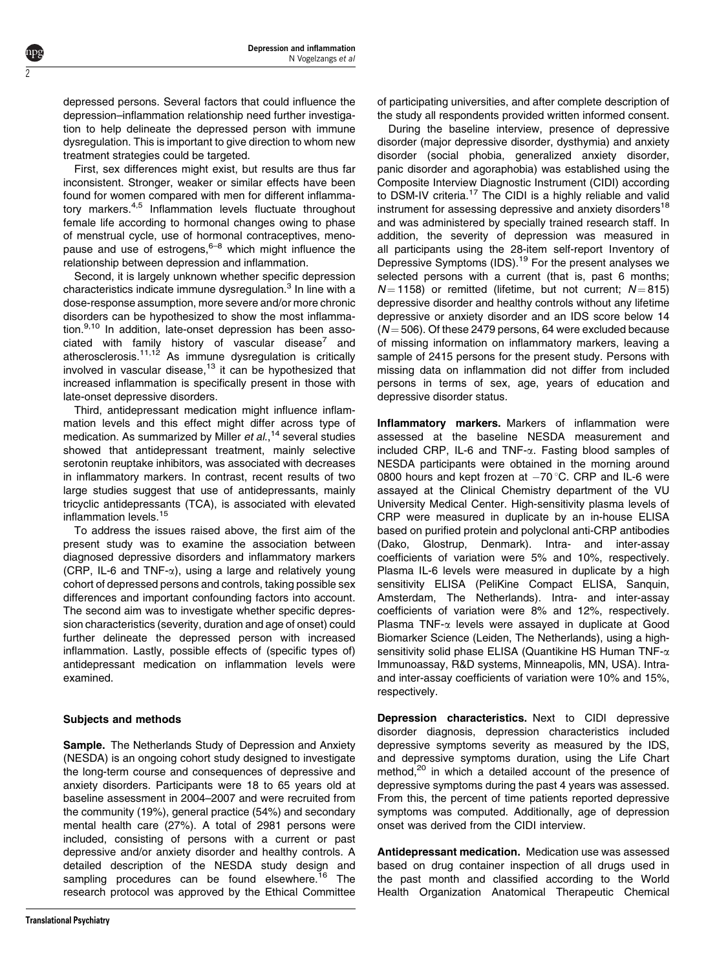depressed persons. Several factors that could influence the depression–inflammation relationship need further investigation to help delineate the depressed person with immune dysregulation. This is important to give direction to whom new treatment strategies could be targeted.

2

First, sex differences might exist, but results are thus far inconsistent. Stronger, weaker or similar effects have been found for women compared with men for different inflammatory markers.<sup>4,5</sup> Inflammation levels fluctuate throughout female life according to hormonal changes owing to phase of menstrual cycle, use of hormonal contraceptives, menopause and use of estrogens,  $6-8$  which might influence the relationship between depression and inflammation.

Second, it is largely unknown whether specific depression characteristics indicate immune dysregulation. $3$  In line with a dose-response assumption, more severe and/or more chronic disorders can be hypothesized to show the most inflamma-tion.<sup>[9,10](#page-7-0)</sup> In addition, late-onset depression has been asso-ciated with family history of vascular disease<sup>[7](#page-7-0)</sup> and atherosclerosis.<sup>11,12</sup> As immune dysregulation is critically involved in vascular disease, $13$  it can be hypothesized that increased inflammation is specifically present in those with late-onset depressive disorders.

Third, antidepressant medication might influence inflammation levels and this effect might differ across type of medication. As summarized by Miller  $et al.<sup>14</sup>$  $et al.<sup>14</sup>$  $et al.<sup>14</sup>$  several studies showed that antidepressant treatment, mainly selective serotonin reuptake inhibitors, was associated with decreases in inflammatory markers. In contrast, recent results of two large studies suggest that use of antidepressants, mainly tricyclic antidepressants (TCA), is associated with elevated inflammation levels.<sup>15</sup>

To address the issues raised above, the first aim of the present study was to examine the association between diagnosed depressive disorders and inflammatory markers (CRP, IL-6 and TNF- $\alpha$ ), using a large and relatively young cohort of depressed persons and controls, taking possible sex differences and important confounding factors into account. The second aim was to investigate whether specific depression characteristics (severity, duration and age of onset) could further delineate the depressed person with increased inflammation. Lastly, possible effects of (specific types of) antidepressant medication on inflammation levels were examined.

# Subjects and methods

Sample. The Netherlands Study of Depression and Anxiety (NESDA) is an ongoing cohort study designed to investigate the long-term course and consequences of depressive and anxiety disorders. Participants were 18 to 65 years old at baseline assessment in 2004–2007 and were recruited from the community (19%), general practice (54%) and secondary mental health care (27%). A total of 2981 persons were included, consisting of persons with a current or past depressive and/or anxiety disorder and healthy controls. A detailed description of the NESDA study design and sampling procedures can be found elsewhere.<sup>[16](#page-7-0)</sup> The research protocol was approved by the Ethical Committee

of participating universities, and after complete description of the study all respondents provided written informed consent.

During the baseline interview, presence of depressive disorder (major depressive disorder, dysthymia) and anxiety disorder (social phobia, generalized anxiety disorder, panic disorder and agoraphobia) was established using the Composite Interview Diagnostic Instrument (CIDI) according to DSM-IV criteria.<sup>[17](#page-7-0)</sup> The CIDI is a highly reliable and valid instrument for assessing depressive and anxiety disorders<sup>[18](#page-7-0)</sup> and was administered by specially trained research staff. In addition, the severity of depression was measured in all participants using the 28-item self-report Inventory of Depressive Symptoms (IDS).<sup>[19](#page-7-0)</sup> For the present analyses we selected persons with a current (that is, past 6 months;  $N = 1158$ ) or remitted (lifetime, but not current;  $N = 815$ ) depressive disorder and healthy controls without any lifetime depressive or anxiety disorder and an IDS score below 14  $(N = 506)$ . Of these 2479 persons, 64 were excluded because of missing information on inflammatory markers, leaving a sample of 2415 persons for the present study. Persons with missing data on inflammation did not differ from included persons in terms of sex, age, years of education and depressive disorder status.

Inflammatory markers. Markers of inflammation were assessed at the baseline NESDA measurement and included CRP, IL-6 and TNF-a. Fasting blood samples of NESDA participants were obtained in the morning around 0800 hours and kept frozen at  $-70$  °C. CRP and IL-6 were assayed at the Clinical Chemistry department of the VU University Medical Center. High-sensitivity plasma levels of CRP were measured in duplicate by an in-house ELISA based on purified protein and polyclonal anti-CRP antibodies (Dako, Glostrup, Denmark). Intra- and inter-assay coefficients of variation were 5% and 10%, respectively. Plasma IL-6 levels were measured in duplicate by a high sensitivity ELISA (PeliKine Compact ELISA, Sanquin, Amsterdam, The Netherlands). Intra- and inter-assay coefficients of variation were 8% and 12%, respectively. Plasma TNF- $\alpha$  levels were assayed in duplicate at Good Biomarker Science (Leiden, The Netherlands), using a highsensitivity solid phase ELISA (Quantikine HS Human TNF-a Immunoassay, R&D systems, Minneapolis, MN, USA). Intraand inter-assay coefficients of variation were 10% and 15%, respectively.

Depression characteristics. Next to CIDI depressive disorder diagnosis, depression characteristics included depressive symptoms severity as measured by the IDS, and depressive symptoms duration, using the Life Chart method,<sup>[20](#page-7-0)</sup> in which a detailed account of the presence of depressive symptoms during the past 4 years was assessed. From this, the percent of time patients reported depressive symptoms was computed. Additionally, age of depression onset was derived from the CIDI interview.

Antidepressant medication. Medication use was assessed based on drug container inspection of all drugs used in the past month and classified according to the World Health Organization Anatomical Therapeutic Chemical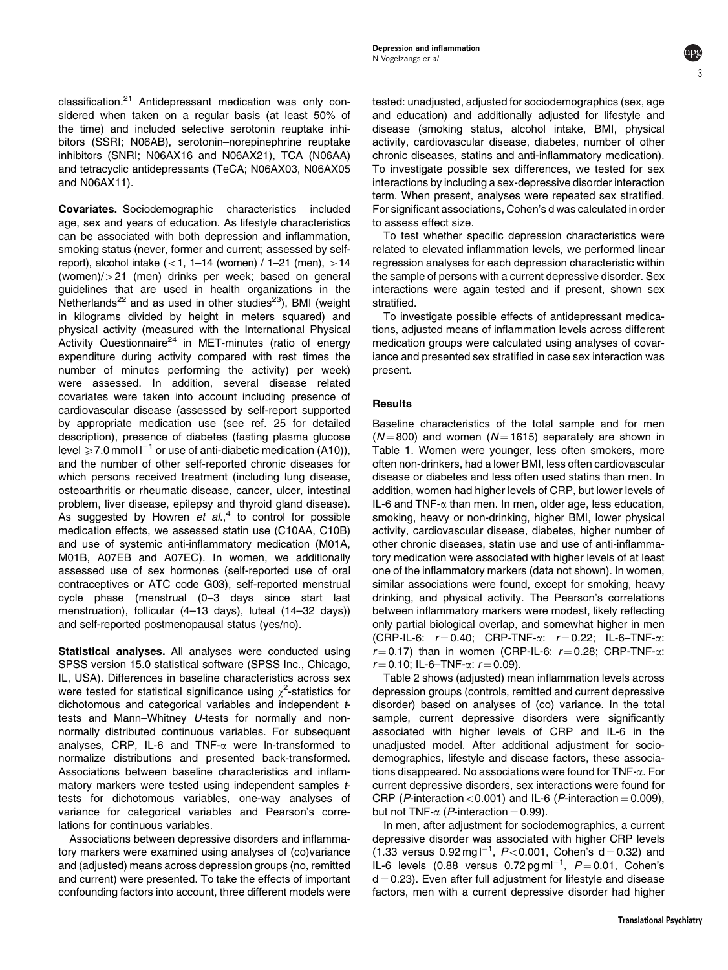classification.[21](#page-7-0) Antidepressant medication was only considered when taken on a regular basis (at least 50% of the time) and included selective serotonin reuptake inhibitors (SSRI; N06AB), serotonin–norepinephrine reuptake inhibitors (SNRI; N06AX16 and N06AX21), TCA (N06AA) and tetracyclic antidepressants (TeCA; N06AX03, N06AX05 and N06AX11).

Covariates. Sociodemographic characteristics included age, sex and years of education. As lifestyle characteristics can be associated with both depression and inflammation, smoking status (never, former and current; assessed by selfreport), alcohol intake  $(<1, 1-14$  (women) / 1–21 (men),  $>14$ (women) $/$  > 21 (men) drinks per week; based on general guidelines that are used in health organizations in the Netherlands<sup>[22](#page-7-0)</sup> and as used in other studies<sup>[23](#page-7-0)</sup>), BMI (weight in kilograms divided by height in meters squared) and physical activity (measured with the International Physical Activity Questionnaire<sup>[24](#page-7-0)</sup> in MET-minutes (ratio of energy expenditure during activity compared with rest times the number of minutes performing the activity) per week) were assessed. In addition, several disease related covariates were taken into account including presence of cardiovascular disease (assessed by self-report supported by appropriate medication use (see ref. 25 for detailed description), presence of diabetes (fasting plasma glucose level  $\geqslant$  7.0 mmol l<sup>-1</sup> or use of anti-diabetic medication (A10)), and the number of other self-reported chronic diseases for which persons received treatment (including lung disease, osteoarthritis or rheumatic disease, cancer, ulcer, intestinal problem, liver disease, epilepsy and thyroid gland disease). As suggested by Howren et  $al.^4$  $al.^4$  to control for possible medication effects, we assessed statin use (C10AA, C10B) and use of systemic anti-inflammatory medication (M01A, M01B, A07EB and A07EC). In women, we additionally assessed use of sex hormones (self-reported use of oral contraceptives or ATC code G03), self-reported menstrual cycle phase (menstrual (0–3 days since start last menstruation), follicular (4–13 days), luteal (14–32 days)) and self-reported postmenopausal status (yes/no).

Statistical analyses. All analyses were conducted using SPSS version 15.0 statistical software (SPSS Inc., Chicago, IL, USA). Differences in baseline characteristics across sex were tested for statistical significance using  $\chi^2$ -statistics for dichotomous and categorical variables and independent ttests and Mann–Whitney U-tests for normally and nonnormally distributed continuous variables. For subsequent analyses, CRP, IL-6 and TNF- $\alpha$  were In-transformed to normalize distributions and presented back-transformed. Associations between baseline characteristics and inflammatory markers were tested using independent samples ttests for dichotomous variables, one-way analyses of variance for categorical variables and Pearson's correlations for continuous variables.

Associations between depressive disorders and inflammatory markers were examined using analyses of (co)variance and (adjusted) means across depression groups (no, remitted and current) were presented. To take the effects of important confounding factors into account, three different models were

tested: unadjusted, adjusted for sociodemographics (sex, age and education) and additionally adjusted for lifestyle and disease (smoking status, alcohol intake, BMI, physical activity, cardiovascular disease, diabetes, number of other chronic diseases, statins and anti-inflammatory medication). To investigate possible sex differences, we tested for sex interactions by including a sex-depressive disorder interaction term. When present, analyses were repeated sex stratified. For significant associations, Cohen's d was calculated in order to assess effect size.

To test whether specific depression characteristics were related to elevated inflammation levels, we performed linear regression analyses for each depression characteristic within the sample of persons with a current depressive disorder. Sex interactions were again tested and if present, shown sex stratified.

To investigate possible effects of antidepressant medications, adjusted means of inflammation levels across different medication groups were calculated using analyses of covariance and presented sex stratified in case sex interaction was present.

## **Results**

Baseline characteristics of the total sample and for men  $(N = 800)$  and women  $(N = 1615)$  separately are shown in [Table 1](#page-3-0). Women were younger, less often smokers, more often non-drinkers, had a lower BMI, less often cardiovascular disease or diabetes and less often used statins than men. In addition, women had higher levels of CRP, but lower levels of IL-6 and TNF- $\alpha$  than men. In men, older age, less education, smoking, heavy or non-drinking, higher BMI, lower physical activity, cardiovascular disease, diabetes, higher number of other chronic diseases, statin use and use of anti-inflammatory medication were associated with higher levels of at least one of the inflammatory markers (data not shown). In women, similar associations were found, except for smoking, heavy drinking, and physical activity. The Pearson's correlations between inflammatory markers were modest, likely reflecting only partial biological overlap, and somewhat higher in men  $(CRP - IL - 6: r = 0.40; CRP - TNF - \alpha: r = 0.22; IL - 6 - TNF - \alpha:$  $r = 0.17$ ) than in women (CRP-IL-6:  $r = 0.28$ ; CRP-TNF- $\alpha$ :  $r = 0.10$ ; IL-6–TNF- $\alpha$ :  $r = 0.09$ ).

[Table 2](#page-4-0) shows (adjusted) mean inflammation levels across depression groups (controls, remitted and current depressive disorder) based on analyses of (co) variance. In the total sample, current depressive disorders were significantly associated with higher levels of CRP and IL-6 in the unadjusted model. After additional adjustment for sociodemographics, lifestyle and disease factors, these associations disappeared. No associations were found for TNF-a. For current depressive disorders, sex interactions were found for CRP (P-interaction < 0.001) and IL-6 (P-interaction = 0.009), but not TNF- $\alpha$  (*P*-interaction = 0.99).

In men, after adjustment for sociodemographics, a current depressive disorder was associated with higher CRP levels  $(1.33 \text{ versus } 0.92 \text{ mg})^{-1}$ ,  $P < 0.001$ , Cohen's d = 0.32) and IL-6 levels (0.88 versus 0.72 pg ml<sup>-1</sup>,  $P = 0.01$ , Cohen's  $d = 0.23$ ). Even after full adjustment for lifestyle and disease factors, men with a current depressive disorder had higher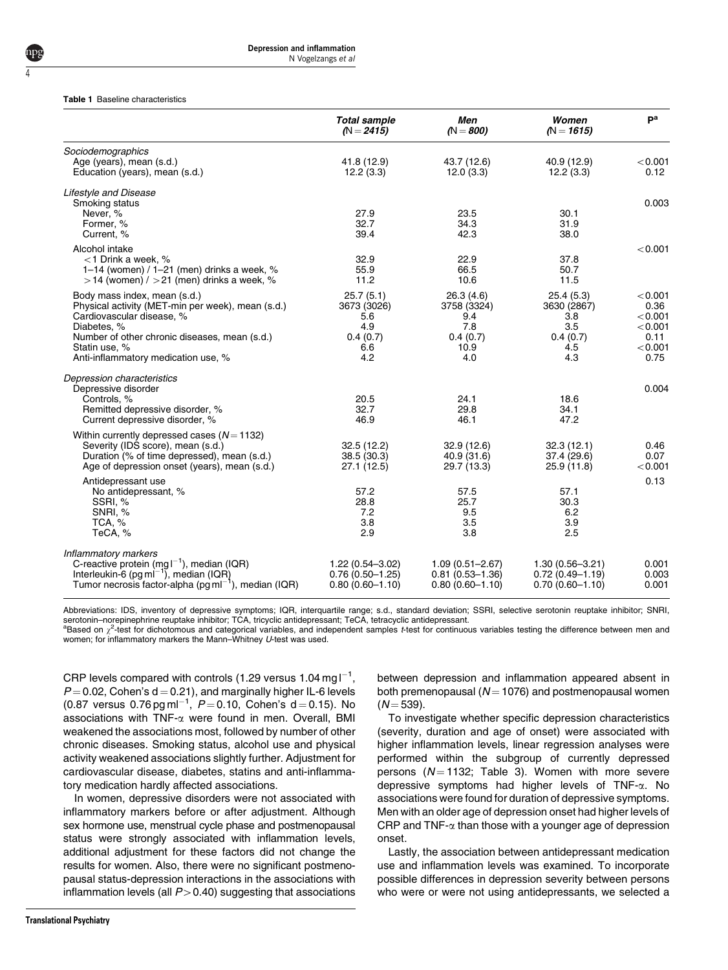#### <span id="page-3-0"></span>Table 1 Baseline characteristics

|                                                                                                                                                                                                                                        | <b>Total sample</b><br>$(N = 2415)$                               | Men<br>$(N = 800)$                                                | Women<br>$N = 1615$                                               | P <sup>a</sup>                                                   |
|----------------------------------------------------------------------------------------------------------------------------------------------------------------------------------------------------------------------------------------|-------------------------------------------------------------------|-------------------------------------------------------------------|-------------------------------------------------------------------|------------------------------------------------------------------|
| Sociodemographics<br>Age (years), mean (s.d.)<br>Education (years), mean (s.d.)                                                                                                                                                        | 41.8 (12.9)<br>12.2(3.3)                                          | 43.7 (12.6)<br>12.0(3.3)                                          | 40.9 (12.9)<br>12.2(3.3)                                          | < 0.001<br>0.12                                                  |
| Lifestyle and Disease<br>Smoking status<br>Never, %<br>Former, %<br>Current, %                                                                                                                                                         | 27.9<br>32.7<br>39.4                                              | 23.5<br>34.3<br>42.3                                              | 30.1<br>31.9<br>38.0                                              | 0.003                                                            |
| Alcohol intake<br>$<$ 1 Drink a week, %<br>1-14 (women) / 1-21 (men) drinks a week, %<br>$>$ 14 (women) / $>$ 21 (men) drinks a week, %                                                                                                | 32.9<br>55.9<br>11.2                                              | 22.9<br>66.5<br>10.6                                              | 37.8<br>50.7<br>11.5                                              | < 0.001                                                          |
| Body mass index, mean (s.d.)<br>Physical activity (MET-min per week), mean (s.d.)<br>Cardiovascular disease, %<br>Diabetes, %<br>Number of other chronic diseases, mean (s.d.)<br>Statin use, %<br>Anti-inflammatory medication use, % | 25.7(5.1)<br>3673 (3026)<br>5.6<br>4.9<br>0.4(0.7)<br>6.6<br>4.2  | 26.3(4.6)<br>3758 (3324)<br>9.4<br>7.8<br>0.4(0.7)<br>10.9<br>4.0 | 25.4(5.3)<br>3630 (2867)<br>3.8<br>3.5<br>0.4(0.7)<br>4.5<br>4.3  | < 0.001<br>0.36<br>< 0.001<br>< 0.001<br>0.11<br>< 0.001<br>0.75 |
| Depression characteristics<br>Depressive disorder<br>Controls, %<br>Remitted depressive disorder, %<br>Current depressive disorder, %                                                                                                  | 20.5<br>32.7<br>46.9                                              | 24.1<br>29.8<br>46.1                                              | 18.6<br>34.1<br>47.2                                              | 0.004                                                            |
| Within currently depressed cases $(N = 1132)$<br>Severity (IDS score), mean (s.d.)<br>Duration (% of time depressed), mean (s.d.)<br>Age of depression onset (years), mean (s.d.)                                                      | 32.5(12.2)<br>38.5(30.3)<br>27.1 (12.5)                           | 32.9 (12.6)<br>40.9 (31.6)<br>29.7 (13.3)                         | 32.3(12.1)<br>37.4(29.6)<br>25.9 (11.8)                           | 0.46<br>0.07<br>< 0.001                                          |
| Antidepressant use<br>No antidepressant, %<br>SSRI, %<br>SNRI, %<br>TCA, %<br>TeCA, %                                                                                                                                                  | 57.2<br>28.8<br>7.2<br>3.8<br>2.9                                 | 57.5<br>25.7<br>9.5<br>3.5<br>3.8                                 | 57.1<br>30.3<br>6.2<br>3.9<br>2.5                                 | 0.13                                                             |
| Inflammatory markers<br>C-reactive protein (mg $I^{-1}$ ), median (IQR)<br>Interleukin-6 (pg ml <sup>-1</sup> ), median (IQR)<br>Tumor necrosis factor-alpha (pg ml <sup>-1</sup> ), median (IQR)                                      | $1.22(0.54 - 3.02)$<br>$0.76(0.50 - 1.25)$<br>$0.80(0.60 - 1.10)$ | $1.09(0.51 - 2.67)$<br>$0.81(0.53 - 1.36)$<br>$0.80(0.60 - 1.10)$ | $1.30(0.56 - 3.21)$<br>$0.72(0.49 - 1.19)$<br>$0.70(0.60 - 1.10)$ | 0.001<br>0.003<br>0.001                                          |

Abbreviations: IDS, inventory of depressive symptoms; IQR, interquartile range; s.d., standard deviation; SSRI, selective serotonin reuptake inhibitor; SNRI, serotonin–norepinephrine reuptake inhibitor; TCA, tricyclic antidepressant; TeCA, tetracyclic antidepressant

 $a_{\text{Based on }\chi^2}$ -test for dichotomous and categorical variables, and independent samples t-test for continuous variables testing the difference between men and women; for inflammatory markers the Mann–Whitney U-test was used.

CRP levels compared with controls (1.29 versus 1.04 mg  $I^{-1}$ ,  $P = 0.02$ , Cohen's d = 0.21), and marginally higher IL-6 levels (0.87 versus 0.76 pg ml<sup>-1</sup>,  $P = 0.10$ , Cohen's d = 0.15). No associations with TNF- $\alpha$  were found in men. Overall, BMI weakened the associations most, followed by number of other chronic diseases. Smoking status, alcohol use and physical activity weakened associations slightly further. Adjustment for cardiovascular disease, diabetes, statins and anti-inflammatory medication hardly affected associations.

In women, depressive disorders were not associated with inflammatory markers before or after adjustment. Although sex hormone use, menstrual cycle phase and postmenopausal status were strongly associated with inflammation levels, additional adjustment for these factors did not change the results for women. Also, there were no significant postmenopausal status-depression interactions in the associations with inflammation levels (all  $P > 0.40$ ) suggesting that associations

between depression and inflammation appeared absent in both premenopausal ( $N = 1076$ ) and postmenopausal women  $(N = 539)$ .

To investigate whether specific depression characteristics (severity, duration and age of onset) were associated with higher inflammation levels, linear regression analyses were performed within the subgroup of currently depressed persons  $(N = 1132;$  [Table 3](#page-4-0)). Women with more severe depressive symptoms had higher levels of TNF-a. No associations were found for duration of depressive symptoms. Men with an older age of depression onset had higher levels of  $CRP$  and  $TNF-\alpha$  than those with a younger age of depression onset.

Lastly, the association between antidepressant medication use and inflammation levels was examined. To incorporate possible differences in depression severity between persons who were or were not using antidepressants, we selected a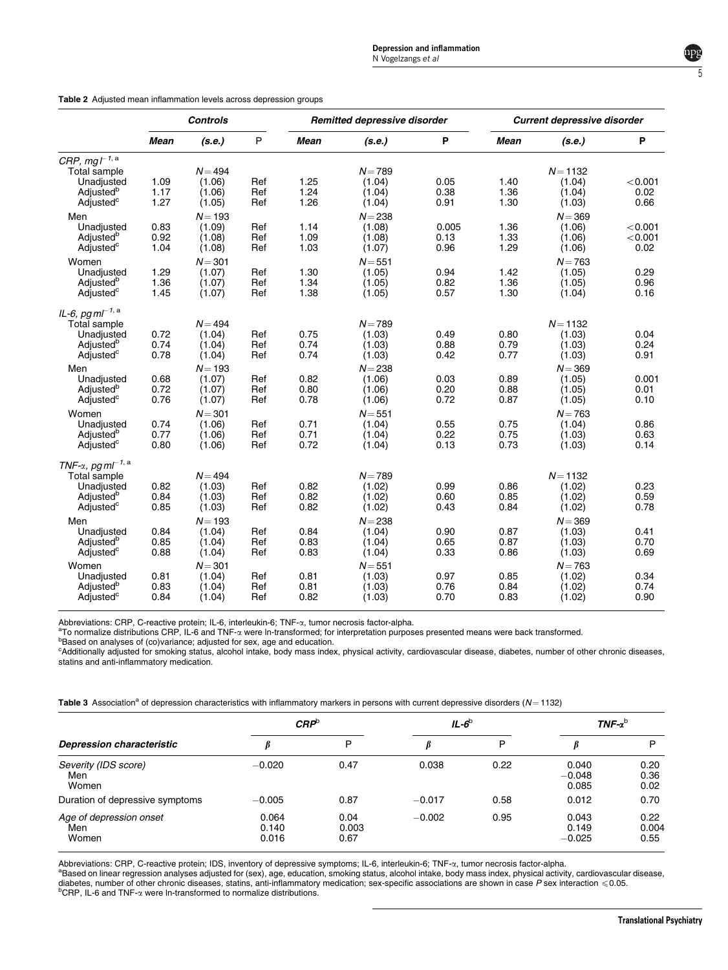<span id="page-4-0"></span>

| Table 2 Adjusted mean inflammation levels across depression groups |  |  |  |  |  |  |  |  |
|--------------------------------------------------------------------|--|--|--|--|--|--|--|--|
|--------------------------------------------------------------------|--|--|--|--|--|--|--|--|

|                                                                                                                               | <b>Controls</b>      |                                         |                   | Remitted depressive disorder |                                         |                       | <b>Current depressive disorder</b> |                                          |                            |
|-------------------------------------------------------------------------------------------------------------------------------|----------------------|-----------------------------------------|-------------------|------------------------------|-----------------------------------------|-----------------------|------------------------------------|------------------------------------------|----------------------------|
|                                                                                                                               | <b>Mean</b>          | (s.e.)                                  | $\sf P$           | <b>Mean</b>                  | (s.e.)                                  | P                     | <b>Mean</b>                        | (s.e.)                                   | P                          |
| CRP, mg $\Gamma^{1, a}$<br>Total sample<br>Unadjusted<br>Adjusted <sup>b</sup><br>Adjusted <sup>c</sup>                       | 1.09<br>1.17<br>1.27 | $N = 494$<br>(1.06)<br>(1.06)<br>(1.05) | Ref<br>Ref<br>Ref | 1.25<br>1.24<br>1.26         | $N = 789$<br>(1.04)<br>(1.04)<br>(1.04) | 0.05<br>0.38<br>0.91  | 1.40<br>1.36<br>1.30               | $N = 1132$<br>(1.04)<br>(1.04)<br>(1.03) | < 0.001<br>0.02<br>0.66    |
| Men<br>Unadjusted<br>Adjusted <sup>b</sup><br>Adjusted <sup>c</sup>                                                           | 0.83<br>0.92<br>1.04 | $N = 193$<br>(1.09)<br>(1.08)<br>(1.08) | Ref<br>Ref<br>Ref | 1.14<br>1.09<br>1.03         | $N = 238$<br>(1.08)<br>(1.08)<br>(1.07) | 0.005<br>0.13<br>0.96 | 1.36<br>1.33<br>1.29               | $N = 369$<br>(1.06)<br>(1.06)<br>(1.06)  | < 0.001<br>< 0.001<br>0.02 |
| Women<br>Unadjusted<br>Adjusted <sup>b</sup><br>Adjusted <sup>c</sup>                                                         | 1.29<br>1.36<br>1.45 | $N = 301$<br>(1.07)<br>(1.07)<br>(1.07) | Ref<br>Ref<br>Ref | 1.30<br>1.34<br>1.38         | $N = 551$<br>(1.05)<br>(1.05)<br>(1.05) | 0.94<br>0.82<br>0.57  | 1.42<br>1.36<br>1.30               | $N = 763$<br>(1.05)<br>(1.05)<br>(1.04)  | 0.29<br>0.96<br>0.16       |
| IL-6, pg m $\Gamma^{1, a}$<br>Total sample<br>Unadjusted<br>Adjusted <sup>b</sup><br>Adjusted <sup>c</sup>                    | 0.72<br>0.74<br>0.78 | $N = 494$<br>(1.04)<br>(1.04)<br>(1.04) | Ref<br>Ref<br>Ref | 0.75<br>0.74<br>0.74         | $N = 789$<br>(1.03)<br>(1.03)<br>(1.03) | 0.49<br>0.88<br>0.42  | 0.80<br>0.79<br>0.77               | $N = 1132$<br>(1.03)<br>(1.03)<br>(1.03) | 0.04<br>0.24<br>0.91       |
| Men<br>Unadjusted<br>Adiusted <sup>b</sup><br>Adjusted <sup>c</sup>                                                           | 0.68<br>0.72<br>0.76 | $N = 193$<br>(1.07)<br>(1.07)<br>(1.07) | Ref<br>Ref<br>Ref | 0.82<br>0.80<br>0.78         | $N = 238$<br>(1.06)<br>(1.06)<br>(1.06) | 0.03<br>0.20<br>0.72  | 0.89<br>0.88<br>0.87               | $N = 369$<br>(1.05)<br>(1.05)<br>(1.05)  | 0.001<br>0.01<br>0.10      |
| Women<br>Unadjusted<br>Adjusted <sup>b</sup><br>Adjusted <sup>c</sup>                                                         | 0.74<br>0.77<br>0.80 | $N = 301$<br>(1.06)<br>(1.06)<br>(1.06) | Ref<br>Ref<br>Ref | 0.71<br>0.71<br>0.72         | $N = 551$<br>(1.04)<br>(1.04)<br>(1.04) | 0.55<br>0.22<br>0.13  | 0.75<br>0.75<br>0.73               | $N = 763$<br>(1.04)<br>(1.03)<br>(1.03)  | 0.86<br>0.63<br>0.14       |
| TNF- $\alpha$ , pg mI <sup>-1, a</sup><br><b>Total sample</b><br>Unadjusted<br>Adiusted <sup>b</sup><br>Adjusted <sup>c</sup> | 0.82<br>0.84<br>0.85 | $N = 494$<br>(1.03)<br>(1.03)<br>(1.03) | Ref<br>Ref<br>Ref | 0.82<br>0.82<br>0.82         | $N = 789$<br>(1.02)<br>(1.02)<br>(1.02) | 0.99<br>0.60<br>0.43  | 0.86<br>0.85<br>0.84               | $N = 1132$<br>(1.02)<br>(1.02)<br>(1.02) | 0.23<br>0.59<br>0.78       |
| Men<br>Unadjusted<br>Adjusted <sup>b</sup><br>Adjusted <sup>c</sup>                                                           | 0.84<br>0.85<br>0.88 | $N = 193$<br>(1.04)<br>(1.04)<br>(1.04) | Ref<br>Ref<br>Ref | 0.84<br>0.83<br>0.83         | $N = 238$<br>(1.04)<br>(1.04)<br>(1.04) | 0.90<br>0.65<br>0.33  | 0.87<br>0.87<br>0.86               | $N = 369$<br>(1.03)<br>(1.03)<br>(1.03)  | 0.41<br>0.70<br>0.69       |
| Women<br>Unadjusted<br>Adiusted <sup>b</sup><br>Adjusted <sup>c</sup>                                                         | 0.81<br>0.83<br>0.84 | $N = 301$<br>(1.04)<br>(1.04)<br>(1.04) | Ref<br>Ref<br>Ref | 0.81<br>0.81<br>0.82         | $N = 551$<br>(1.03)<br>(1.03)<br>(1.03) | 0.97<br>0.76<br>0.70  | 0.85<br>0.84<br>0.83               | $N = 763$<br>(1.02)<br>(1.02)<br>(1.02)  | 0.34<br>0.74<br>0.90       |

Abbreviations: CRP, C-reactive protein; IL-6, interleukin-6; TNF-α, tumor necrosis factor-alpha.<br><sup>a To</sup> normalize distributions CRP, IL-6 and TNF-α were In-transformed; for interpretation purposes presented means were back

**Based on analyses of (co)variance; adjusted for sex, age and education.** 

<sup>c</sup>Additionally adjusted for smoking status, alcohol intake, body mass index, physical activity, cardiovascular disease, diabetes, number of other chronic diseases, statins and anti-inflammatory medication.

|  | Table 3 Association <sup>a</sup> of depression characteristics with inflammatory markers in persons with current depressive disorders ( $N=1132$ ) |  |  |  |  |  |
|--|----------------------------------------------------------------------------------------------------------------------------------------------------|--|--|--|--|--|
|--|----------------------------------------------------------------------------------------------------------------------------------------------------|--|--|--|--|--|

|                                         | CRP <sup>b</sup>        |                       | $IL-6b$  |      | $TNF-\alpha^b$             |                       |
|-----------------------------------------|-------------------------|-----------------------|----------|------|----------------------------|-----------------------|
| <b>Depression characteristic</b>        |                         | P                     | В        | P    |                            | P                     |
| Severity (IDS score)<br>Men<br>Women    | $-0.020$                | 0.47                  | 0.038    | 0.22 | 0.040<br>$-0.048$<br>0.085 | 0.20<br>0.36<br>0.02  |
| Duration of depressive symptoms         | $-0.005$                | 0.87                  | $-0.017$ | 0.58 | 0.012                      | 0.70                  |
| Age of depression onset<br>Men<br>Women | 0.064<br>0.140<br>0.016 | 0.04<br>0.003<br>0.67 | $-0.002$ | 0.95 | 0.043<br>0.149<br>$-0.025$ | 0.22<br>0.004<br>0.55 |

Abbreviations: CRP, C-reactive protein; IDS, inventory of depressive symptoms; IL-6, interleukin-6; TNF-α, tumor necrosis factor-alpha.<br><sup>a</sup>Based on linear regression analyses adjusted for (sex), age, education, smoking st  ${}^{\text{b}}\text{CRP}$ , IL-6 and TNF- $\alpha$  were ln-transformed to normalize distributions.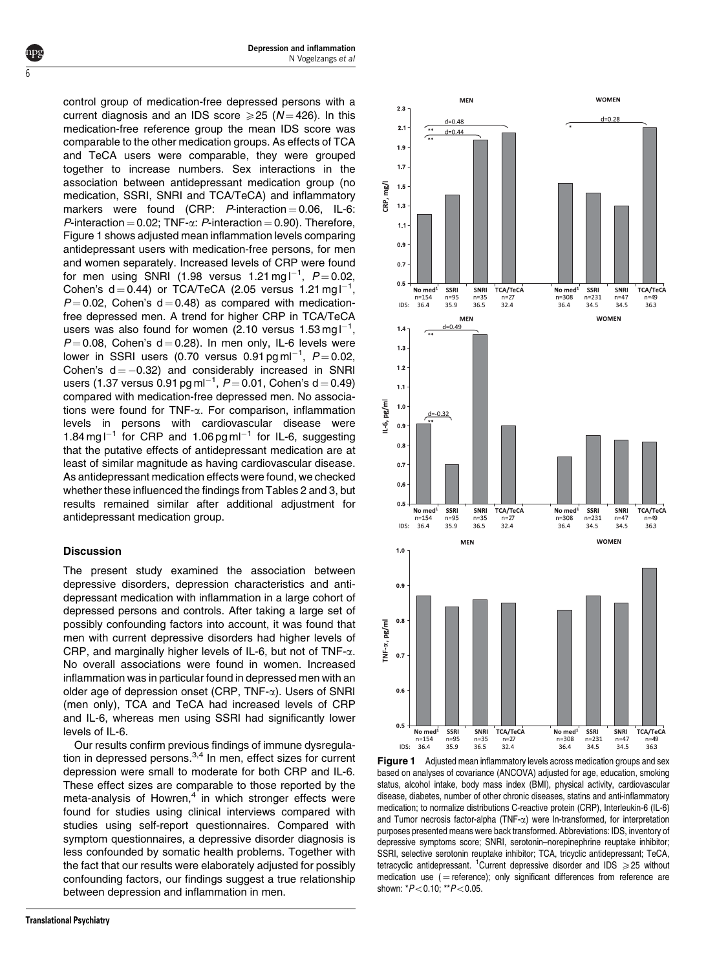control group of medication-free depressed persons with a current diagnosis and an IDS score  $\geq 25$  (N = 426). In this medication-free reference group the mean IDS score was comparable to the other medication groups. As effects of TCA and TeCA users were comparable, they were grouped together to increase numbers. Sex interactions in the association between antidepressant medication group (no medication, SSRI, SNRI and TCA/TeCA) and inflammatory markers were found (CRP:  $P$ -interaction = 0.06, IL-6: P-interaction = 0.02; TNF- $\alpha$ : P-interaction = 0.90). Therefore, Figure 1 shows adjusted mean inflammation levels comparing antidepressant users with medication-free persons, for men and women separately. Increased levels of CRP were found for men using SNRI (1.98 versus 1.21 mg l<sup>-1</sup>,  $P=$  0.02, Cohen's  $d = 0.44$ ) or TCA/TeCA (2.05 versus 1.21 mg l<sup>-1</sup>,  $P = 0.02$ , Cohen's d = 0.48) as compared with medicationfree depressed men. A trend for higher CRP in TCA/TeCA users was also found for women (2.10 versus 1.53 mg  $I^{-1}$ ,  $P = 0.08$ , Cohen's d = 0.28). In men only, IL-6 levels were lower in SSRI users (0.70 versus 0.91 pg ml $^{-1}$ ,  $P=$  0.02, Cohen's  $d = -0.32$ ) and considerably increased in SNRI users (1.37 versus 0.91 pg ml $^{-1}$ ,  $P$   $\!=$  0.01, Cohen's d  $\!=$  0.49) compared with medication-free depressed men. No associations were found for TNF- $\alpha$ . For comparison, inflammation levels in persons with cardiovascular disease were 1.84 mg  $I^{-1}$  for CRP and 1.06 pg m $I^{-1}$  for IL-6, suggesting that the putative effects of antidepressant medication are at least of similar magnitude as having cardiovascular disease. As antidepressant medication effects were found, we checked [whether these influenced the findings from Tables 2 and 3](#page-4-0), but results remained similar after additional adjustment for antidepressant medication group.

#### **Discussion**

6

The present study examined the association between depressive disorders, depression characteristics and antidepressant medication with inflammation in a large cohort of depressed persons and controls. After taking a large set of possibly confounding factors into account, it was found that men with current depressive disorders had higher levels of CRP, and marginally higher levels of IL-6, but not of TNF-a. No overall associations were found in women. Increased inflammation was in particular found in depressed men with an older age of depression onset (CRP,  $TNF-\alpha$ ). Users of SNRI (men only), TCA and TeCA had increased levels of CRP and IL-6, whereas men using SSRI had significantly lower levels of IL-6.

Our results confirm previous findings of immune dysregulation in depressed persons. $3,4$  In men, effect sizes for current depression were small to moderate for both CRP and IL-6. These effect sizes are comparable to those reported by the meta-analysis of Howren, $4$  in which stronger effects were found for studies using clinical interviews compared with studies using self-report questionnaires. Compared with symptom questionnaires, a depressive disorder diagnosis is less confounded by somatic health problems. Together with the fact that our results were elaborately adjusted for possibly confounding factors, our findings suggest a true relationship between depression and inflammation in men.



Figure 1 Adjusted mean inflammatory levels across medication groups and sex based on analyses of covariance (ANCOVA) adjusted for age, education, smoking status, alcohol intake, body mass index (BMI), physical activity, cardiovascular disease, diabetes, number of other chronic diseases, statins and anti-inflammatory medication; to normalize distributions C-reactive protein (CRP), Interleukin-6 (IL-6) and Tumor necrosis factor-alpha (TNF- $\alpha$ ) were ln-transformed, for interpretation purposes presented means were back transformed. Abbreviations: IDS, inventory of depressive symptoms score; SNRI, serotonin–norepinephrine reuptake inhibitor; SSRI, selective serotonin reuptake inhibitor; TCA, tricyclic antidepressant; TeCA, tetracyclic antidepressant. <sup>1</sup>Current depressive disorder and IDS  $\geqslant$  25 without medication use ( $=$  reference); only significant differences from reference are shown:  $*P<0.10$ ;  $*P<0.05$ .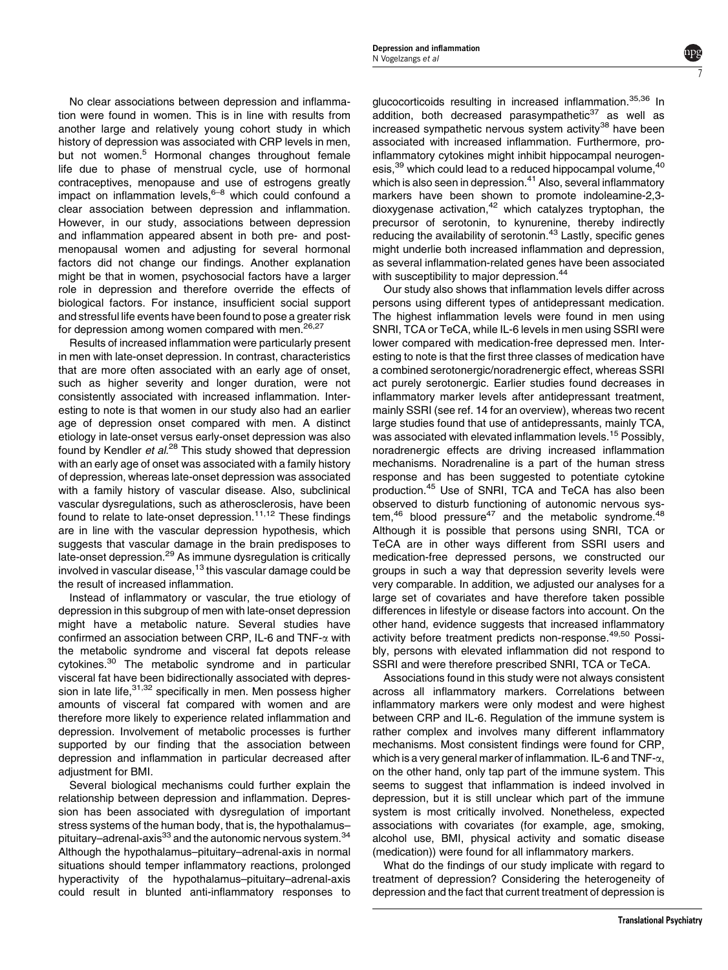No clear associations between depression and inflammation were found in women. This is in line with results from another large and relatively young cohort study in which history of depression was associated with CRP levels in men, but not women.<sup>5</sup> Hormonal changes throughout female life due to phase of menstrual cycle, use of hormonal contraceptives, menopause and use of estrogens greatly impact on inflammation levels, $6-8$  which could confound a clear association between depression and inflammation. However, in our study, associations between depression and inflammation appeared absent in both pre- and postmenopausal women and adjusting for several hormonal factors did not change our findings. Another explanation might be that in women, psychosocial factors have a larger role in depression and therefore override the effects of biological factors. For instance, insufficient social support and stressful life events have been found to pose a greater risk for depression among women compared with men.<sup>[26,27](#page-8-0)</sup>

Results of increased inflammation were particularly present in men with late-onset depression. In contrast, characteristics that are more often associated with an early age of onset, such as higher severity and longer duration, were not consistently associated with increased inflammation. Interesting to note is that women in our study also had an earlier age of depression onset compared with men. A distinct etiology in late-onset versus early-onset depression was also found by Kendler *et al.<sup>[28](#page-8-0)</sup>* This study showed that depression with an early age of onset was associated with a family history of depression, whereas late-onset depression was associated with a family history of vascular disease. Also, subclinical vascular dysregulations, such as atherosclerosis, have been found to relate to late-onset depression.<sup>[11,12](#page-7-0)</sup> These findings are in line with the vascular depression hypothesis, which suggests that vascular damage in the brain predisposes to late-onset depression.<sup>[29](#page-8-0)</sup> As immune dysregulation is critically involved in vascular disease,  $13$  this vascular damage could be the result of increased inflammation.

Instead of inflammatory or vascular, the true etiology of depression in this subgroup of men with late-onset depression might have a metabolic nature. Several studies have confirmed an association between CRP, IL-6 and TNF-a with the metabolic syndrome and visceral fat depots release cytokines.[30](#page-8-0) The metabolic syndrome and in particular visceral fat have been bidirectionally associated with depression in late life, <sup>31,32</sup> specifically in men. Men possess higher amounts of visceral fat compared with women and are therefore more likely to experience related inflammation and depression. Involvement of metabolic processes is further supported by our finding that the association between depression and inflammation in particular decreased after adjustment for BMI.

Several biological mechanisms could further explain the relationship between depression and inflammation. Depression has been associated with dysregulation of important stress systems of the human body, that is, the hypothalamus– pituitary–adrenal-axis<sup>[33](#page-8-0)</sup> and the autonomic nervous system.<sup>34</sup> Although the hypothalamus–pituitary–adrenal-axis in normal situations should temper inflammatory reactions, prolonged hyperactivity of the hypothalamus–pituitary–adrenal-axis could result in blunted anti-inflammatory responses to

glucocorticoids resulting in increased inflammation.<sup>[35,36](#page-8-0)</sup> In addition, both decreased parasympathetic<sup>[37](#page-8-0)</sup> as well as increased sympathetic nervous system activity $38$  have been associated with increased inflammation. Furthermore, proinflammatory cytokines might inhibit hippocampal neurogen-esis,<sup>[39](#page-8-0)</sup> which could lead to a reduced hippocampal volume,<sup>[40](#page-8-0)</sup> which is also seen in depression.<sup>[41](#page-8-0)</sup> Also, several inflammatory markers have been shown to promote indoleamine-2,3 dioxygenase activation, $42$  which catalyzes tryptophan, the precursor of serotonin, to kynurenine, thereby indirectly reducing the availability of serotonin.<sup>[43](#page-8-0)</sup> Lastly, specific genes might underlie both increased inflammation and depression, as several inflammation-related genes have been associated with susceptibility to major depression.<sup>44</sup>

7

Our study also shows that inflammation levels differ across persons using different types of antidepressant medication. The highest inflammation levels were found in men using SNRI, TCA or TeCA, while IL-6 levels in men using SSRI were lower compared with medication-free depressed men. Interesting to note is that the first three classes of medication have a combined serotonergic/noradrenergic effect, whereas SSRI act purely serotonergic. Earlier studies found decreases in inflammatory marker levels after antidepressant treatment, mainly SSRI (see ref. 14 for an overview), whereas two recent large studies found that use of antidepressants, mainly TCA, was associated with elevated inflammation levels.<sup>[15](#page-7-0)</sup> Possibly, noradrenergic effects are driving increased inflammation mechanisms. Noradrenaline is a part of the human stress response and has been suggested to potentiate cytokine production.[45](#page-8-0) Use of SNRI, TCA and TeCA has also been observed to disturb functioning of autonomic nervous sys- $tem,46$  $tem,46$  blood pressure<sup>[47](#page-8-0)</sup> and the metabolic syndrome.<sup>48</sup> Although it is possible that persons using SNRI, TCA or TeCA are in other ways different from SSRI users and medication-free depressed persons, we constructed our groups in such a way that depression severity levels were very comparable. In addition, we adjusted our analyses for a large set of covariates and have therefore taken possible differences in lifestyle or disease factors into account. On the other hand, evidence suggests that increased inflammatory activity before treatment predicts non-response.[49,50](#page-8-0) Possibly, persons with elevated inflammation did not respond to SSRI and were therefore prescribed SNRI, TCA or TeCA.

Associations found in this study were not always consistent across all inflammatory markers. Correlations between inflammatory markers were only modest and were highest between CRP and IL-6. Regulation of the immune system is rather complex and involves many different inflammatory mechanisms. Most consistent findings were found for CRP, which is a very general marker of inflammation. IL-6 and TNF- $\alpha$ , on the other hand, only tap part of the immune system. This seems to suggest that inflammation is indeed involved in depression, but it is still unclear which part of the immune system is most critically involved. Nonetheless, expected associations with covariates (for example, age, smoking, alcohol use, BMI, physical activity and somatic disease (medication)) were found for all inflammatory markers.

What do the findings of our study implicate with regard to treatment of depression? Considering the heterogeneity of depression and the fact that current treatment of depression is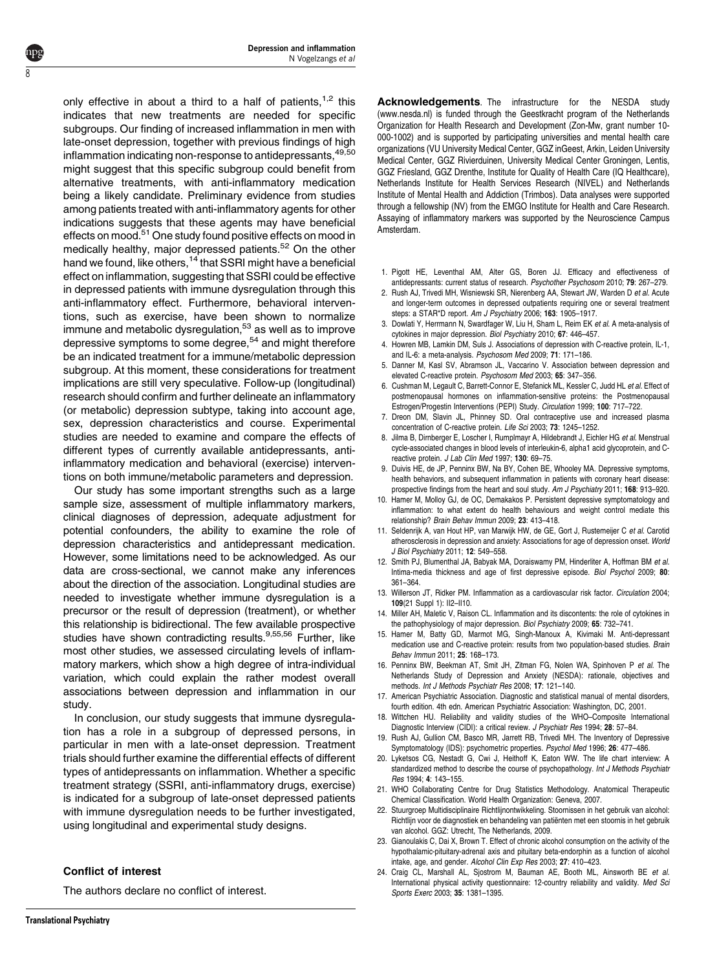only effective in about a third to a half of patients, $1,2$  this indicates that new treatments are needed for specific subgroups. Our finding of increased inflammation in men with late-onset depression, together with previous findings of high inflammation indicating non-response to antidepressants, 49,50 might suggest that this specific subgroup could benefit from alternative treatments, with anti-inflammatory medication being a likely candidate. Preliminary evidence from studies among patients treated with anti-inflammatory agents for other indications suggests that these agents may have beneficial effects on mood.<sup>[51](#page-8-0)</sup> One study found positive effects on mood in medically healthy, major depressed patients.<sup>52</sup> On the other hand we found, like others, <sup>14</sup> that SSRI might have a beneficial effect on inflammation, suggesting that SSRI could be effective in depressed patients with immune dysregulation through this anti-inflammatory effect. Furthermore, behavioral interventions, such as exercise, have been shown to normalize immune and metabolic dysregulation, $^{53}$  as well as to improve depressive symptoms to some degree,<sup>54</sup> and might therefore be an indicated treatment for a immune/metabolic depression subgroup. At this moment, these considerations for treatment implications are still very speculative. Follow-up (longitudinal) research should confirm and further delineate an inflammatory (or metabolic) depression subtype, taking into account age, sex, depression characteristics and course. Experimental studies are needed to examine and compare the effects of different types of currently available antidepressants, antiinflammatory medication and behavioral (exercise) interventions on both immune/metabolic parameters and depression.

Our study has some important strengths such as a large sample size, assessment of multiple inflammatory markers, clinical diagnoses of depression, adequate adjustment for potential confounders, the ability to examine the role of depression characteristics and antidepressant medication. However, some limitations need to be acknowledged. As our data are cross-sectional, we cannot make any inferences about the direction of the association. Longitudinal studies are needed to investigate whether immune dysregulation is a precursor or the result of depression (treatment), or whether this relationship is bidirectional. The few available prospective studies have shown contradicting results.<sup>9,55,56</sup> Further, like most other studies, we assessed circulating levels of inflammatory markers, which show a high degree of intra-individual variation, which could explain the rather modest overall associations between depression and inflammation in our study.

In conclusion, our study suggests that immune dysregulation has a role in a subgroup of depressed persons, in particular in men with a late-onset depression. Treatment trials should further examine the differential effects of different types of antidepressants on inflammation. Whether a specific treatment strategy (SSRI, anti-inflammatory drugs, exercise) is indicated for a subgroup of late-onset depressed patients with immune dysregulation needs to be further investigated, using longitudinal and experimental study designs.

#### Conflict of interest

The authors declare no conflict of interest.

Acknowledgements. The infrastructure for the NESDA study [\(www.nesda.nl\)](www.nesda.nl) is funded through the Geestkracht program of the Netherlands Organization for Health Research and Development (Zon-Mw, grant number 10- 000-1002) and is supported by participating universities and mental health care organizations (VU University Medical Center, GGZ inGeest, Arkin, Leiden University Medical Center, GGZ Rivierduinen, University Medical Center Groningen, Lentis, GGZ Friesland, GGZ Drenthe, Institute for Quality of Health Care (IQ Healthcare), Netherlands Institute for Health Services Research (NIVEL) and Netherlands Institute of Mental Health and Addiction (Trimbos). Data analyses were supported through a fellowship (NV) from the EMGO Institute for Health and Care Research. Assaying of inflammatory markers was supported by the Neuroscience Campus Amsterdam.

- 1. Pigott HE, Leventhal AM, Alter GS, Boren JJ. Efficacy and effectiveness of antidepressants: current status of research. Psychother Psychosom 2010; 79: 267–279.
- 2. Rush AJ, Trivedi MH, Wisniewski SR, Nierenberg AA, Stewart JW, Warden D et al. Acute and longer-term outcomes in depressed outpatients requiring one or several treatment steps: a STAR\*D report. Am J Psychiatry 2006; 163: 1905-1917.
- 3. Dowlati Y, Herrmann N, Swardfager W, Liu H, Sham L, Reim EK et al. A meta-analysis of cytokines in major depression. Biol Psychiatry 2010; 67: 446–457.
- 4. Howren MB, Lamkin DM, Suls J. Associations of depression with C-reactive protein, IL-1, and IL-6: a meta-analysis. Psychosom Med 2009; 71: 171–186.
- 5. Danner M, Kasl SV, Abramson JL, Vaccarino V. Association between depression and elevated C-reactive protein. Psychosom Med 2003; 65: 347–356.
- 6. Cushman M, Legault C, Barrett-Connor E, Stefanick ML, Kessler C, Judd HL et al. Effect of postmenopausal hormones on inflammation-sensitive proteins: the Postmenopausal Estrogen/Progestin Interventions (PEPI) Study. Circulation 1999; 100: 717–722.
- 7. Dreon DM, Slavin JL, Phinney SD. Oral contraceptive use and increased plasma concentration of C-reactive protein. Life Sci 2003; 73: 1245–1252.
- 8. Jilma B, Dirnberger E, Loscher I, Rumplmayr A, Hildebrandt J, Eichler HG et al. Menstrual cycle-associated changes in blood levels of interleukin-6, alpha1 acid glycoprotein, and Creactive protein. J Lab Clin Med 1997; 130: 69–75.
- 9. Duivis HE, de JP, Penninx BW, Na BY, Cohen BE, Whooley MA. Depressive symptoms, health behaviors, and subsequent inflammation in patients with coronary heart disease: prospective findings from the heart and soul study. Am J Psychiatry 2011; 168: 913-920.
- 10. Hamer M, Molloy GJ, de OC, Demakakos P. Persistent depressive symptomatology and inflammation: to what extent do health behaviours and weight control mediate this relationship? Brain Behav Immun 2009; 23: 413–418.
- 11. Seldenrijk A, van Hout HP, van Marwijk HW, de GE, Gort J, Rustemeijer C et al. Carotid atherosclerosis in depression and anxiety: Associations for age of depression onset. World J Biol Psychiatry 2011; 12: 549–558.
- 12. Smith PJ, Blumenthal JA, Babyak MA, Doraiswamy PM, Hinderliter A, Hoffman BM et al. Intima-media thickness and age of first depressive episode. Biol Psychol 2009; 80: 361–364.
- 13. Willerson JT, Ridker PM, Inflammation as a cardiovascular risk factor. Circulation 2004: 109(21 Suppl 1): II2–II10.
- 14. Miller AH, Maletic V, Raison CL. Inflammation and its discontents: the role of cytokines in the pathophysiology of major depression. Biol Psychiatry 2009; 65: 732–741.
- 15. Hamer M, Batty GD, Marmot MG, Singh-Manoux A, Kivimaki M. Anti-depressant medication use and C-reactive protein: results from two population-based studies. Brain Behav Immun 2011; 25: 168–173.
- 16. Penninx BW, Beekman AT, Smit JH, Zitman FG, Nolen WA, Spinhoven P et al. The Netherlands Study of Depression and Anxiety (NESDA): rationale, objectives and methods. Int J Methods Psychiatr Res 2008; 17: 121–140.
- 17. American Psychiatric Association. Diagnostic and statistical manual of mental disorders, fourth edition. 4th edn. American Psychiatric Association: Washington, DC, 2001.
- 18. Wittchen HU. Reliability and validity studies of the WHO–Composite International Diagnostic Interview (CIDI): a critical review. J Psychiatr Res 1994; 28: 57-84.
- 19. Rush AJ, Gullion CM, Basco MR, Jarrett RB, Trivedi MH. The Inventory of Depressive Symptomatology (IDS): psychometric properties. Psychol Med 1996; 26: 477–486.
- 20. Lyketsos CG, Nestadt G, Cwi J, Heithoff K, Eaton WW. The life chart interview: A standardized method to describe the course of psychopathology. Int J Methods Psychiatr Res 1994; 4: 143–155.
- 21. WHO Collaborating Centre for Drug Statistics Methodology. Anatomical Therapeutic Chemical Classification. World Health Organization: Geneva, 2007.
- 22. Stuurgroep Multidisciplinaire Richtlijnontwikkeling. Stoornissen in het gebruik van alcohol: Richtlijn voor de diagnostiek en behandeling van patiënten met een stoornis in het gebruik van alcohol. GGZ: Utrecht, The Netherlands, 2009.
- 23. Gianoulakis C, Dai X, Brown T. Effect of chronic alcohol consumption on the activity of the hypothalamic-pituitary-adrenal axis and pituitary beta-endorphin as a function of alcohol intake, age, and gender. Alcohol Clin Exp Res 2003; 27: 410–423.
- 24. Craig CL, Marshall AL, Sjostrom M, Bauman AE, Booth ML, Ainsworth BE et al. International physical activity questionnaire: 12-country reliability and validity. Med Sci Sports Exerc 2003; 35: 1381–1395.

<span id="page-7-0"></span>ŏ